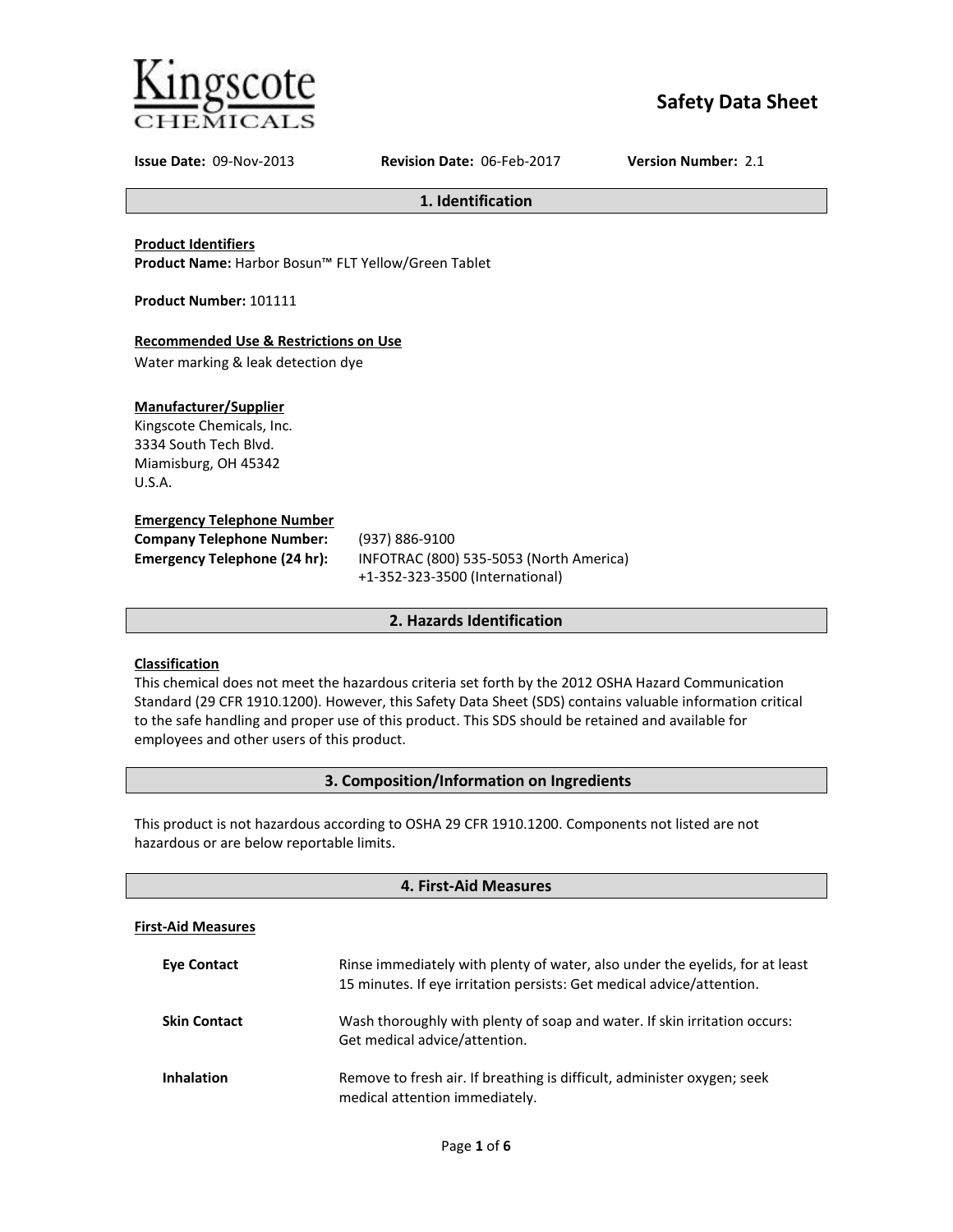

# **Safety Data Sheet**

**Issue Date:** 09-Nov-2013 **Revision Date:** 06-Feb-2017 **Version Number:** 2.1

**1. Identification**

# **Product Identifiers**

**Product Name:** Harbor Bosun™ FLT Yellow/Green Tablet

**Product Number:** 101111

# **Recommended Use & Restrictions on Use**

Water marking & leak detection dye

# **Manufacturer/Supplier**

Kingscote Chemicals, Inc. 3334 South Tech Blvd. Miamisburg, OH 45342 U.S.A.

#### **Emergency Telephone Number**

| <b>Company Telephone Number:</b> | (937)       |
|----------------------------------|-------------|
| Emergency Telephone (24 hr):     | <b>INFC</b> |
|                                  |             |

**Company Telephone Number:** (937) 886-9100 **Emergency Telephone (24 hr):** INFOTRAC (800) 535-5053 (North America) +1-352-323-3500 (International)

# **2. Hazards Identification**

# **Classification**

This chemical does not meet the hazardous criteria set forth by the 2012 OSHA Hazard Communication Standard (29 CFR 1910.1200). However, this Safety Data Sheet (SDS) contains valuable information critical to the safe handling and proper use of this product. This SDS should be retained and available for employees and other users of this product.

# **3. Composition/Information on Ingredients**

This product is not hazardous according to OSHA 29 CFR 1910.1200. Components not listed are not hazardous or are below reportable limits.

| 4. First-Aid Measures     |                                                                                                                                                       |
|---------------------------|-------------------------------------------------------------------------------------------------------------------------------------------------------|
| <b>First-Aid Measures</b> |                                                                                                                                                       |
| <b>Eve Contact</b>        | Rinse immediately with plenty of water, also under the eyelids, for at least<br>15 minutes. If eye irritation persists: Get medical advice/attention. |
| <b>Skin Contact</b>       | Wash thoroughly with plenty of soap and water. If skin irritation occurs:<br>Get medical advice/attention.                                            |
| <b>Inhalation</b>         | Remove to fresh air. If breathing is difficult, administer oxygen; seek<br>medical attention immediately.                                             |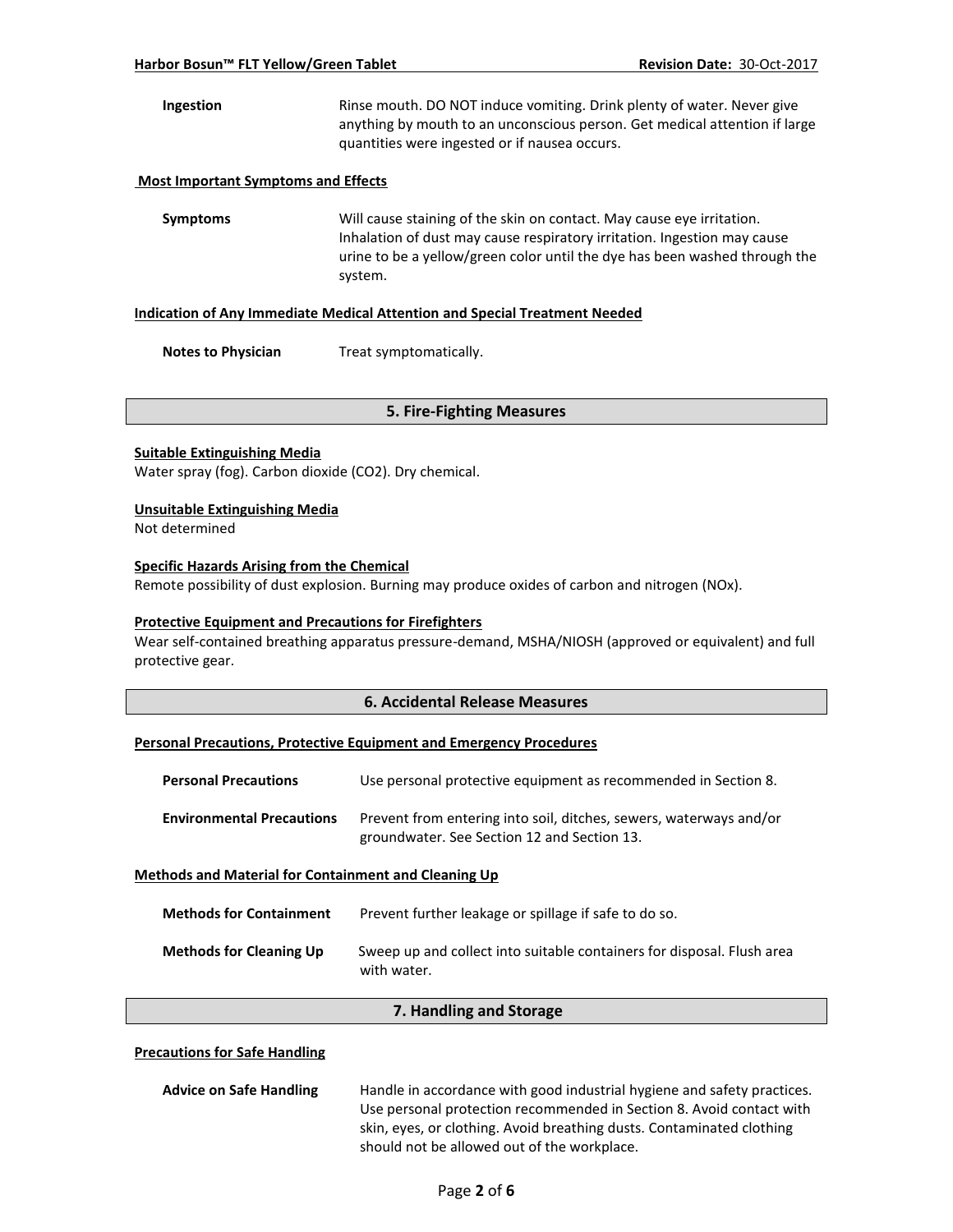**Ingestion** Rinse mouth. DO NOT induce vomiting. Drink plenty of water. Never give anything by mouth to an unconscious person. Get medical attention if large quantities were ingested or if nausea occurs.

#### **Most Important Symptoms and Effects**

**Symptoms** Will cause staining of the skin on contact. May cause eye irritation. Inhalation of dust may cause respiratory irritation. Ingestion may cause urine to be a yellow/green color until the dye has been washed through the system.

#### **Indication of Any Immediate Medical Attention and Special Treatment Needed**

**Notes to Physician** Treat symptomatically.

#### **5. Fire-Fighting Measures**

#### **Suitable Extinguishing Media**

Water spray (fog). Carbon dioxide (CO2). Dry chemical.

#### **Unsuitable Extinguishing Media**

Not determined

## **Specific Hazards Arising from the Chemical**

Remote possibility of dust explosion. Burning may produce oxides of carbon and nitrogen (NOx).

#### **Protective Equipment and Precautions for Firefighters**

Wear self-contained breathing apparatus pressure-demand, MSHA/NIOSH (approved or equivalent) and full protective gear.

#### **6. Accidental Release Measures**

### **Personal Precautions, Protective Equipment and Emergency Procedures**

| <b>Personal Precautions</b>                                 | Use personal protective equipment as recommended in Section 8.                                                    |
|-------------------------------------------------------------|-------------------------------------------------------------------------------------------------------------------|
| <b>Environmental Precautions</b>                            | Prevent from entering into soil, ditches, sewers, waterways and/or<br>groundwater. See Section 12 and Section 13. |
| <b>Methods and Material for Containment and Cleaning Up</b> |                                                                                                                   |
| <b>Methods for Containment</b>                              | Prevent further leakage or spillage if safe to do so.                                                             |

| <b>Methods for Cleaning Up</b> | Sweep up and collect into suitable containers for disposal. Flush area<br>with water. |
|--------------------------------|---------------------------------------------------------------------------------------|
|                                |                                                                                       |

#### **7. Handling and Storage**

### **Precautions for Safe Handling**

| <b>Advice on Safe Handling</b> | Handle in accordance with good industrial hygiene and safety practices. |
|--------------------------------|-------------------------------------------------------------------------|
|                                | Use personal protection recommended in Section 8. Avoid contact with    |
|                                | skin, eyes, or clothing. Avoid breathing dusts. Contaminated clothing   |
|                                | should not be allowed out of the workplace.                             |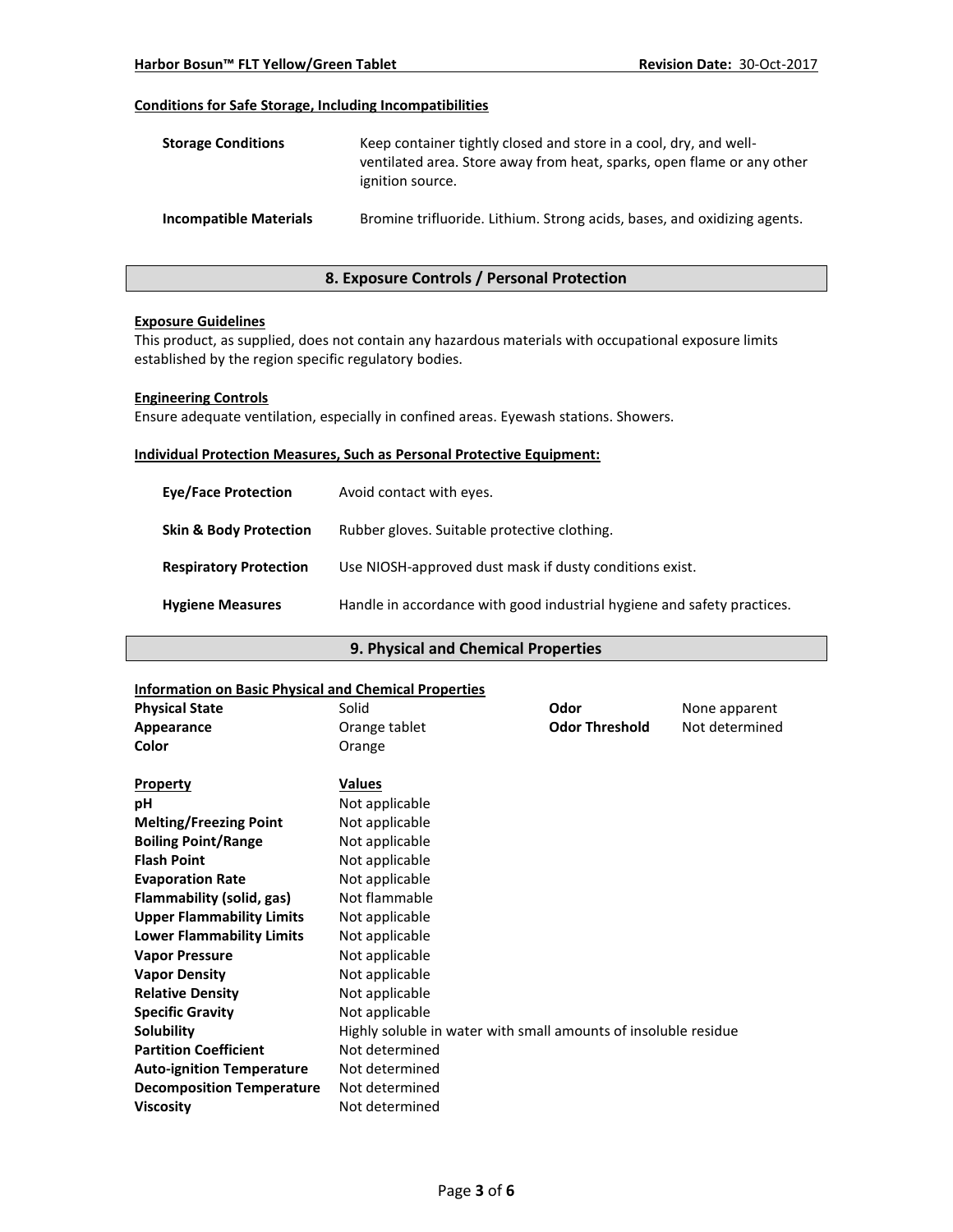# **Conditions for Safe Storage, Including Incompatibilities**

| <b>Storage Conditions</b>     | Keep container tightly closed and store in a cool, dry, and well-<br>ventilated area. Store away from heat, sparks, open flame or any other<br>ignition source. |
|-------------------------------|-----------------------------------------------------------------------------------------------------------------------------------------------------------------|
| <b>Incompatible Materials</b> | Bromine trifluoride. Lithium. Strong acids, bases, and oxidizing agents.                                                                                        |

# **8. Exposure Controls / Personal Protection**

#### **Exposure Guidelines**

This product, as supplied, does not contain any hazardous materials with occupational exposure limits established by the region specific regulatory bodies.

#### **Engineering Controls**

Ensure adequate ventilation, especially in confined areas. Eyewash stations. Showers.

#### **Individual Protection Measures, Such as Personal Protective Equipment:**

| <b>Eve/Face Protection</b>        | Avoid contact with eyes.                                                |
|-----------------------------------|-------------------------------------------------------------------------|
| <b>Skin &amp; Body Protection</b> | Rubber gloves. Suitable protective clothing.                            |
| <b>Respiratory Protection</b>     | Use NIOSH-approved dust mask if dusty conditions exist.                 |
| <b>Hygiene Measures</b>           | Handle in accordance with good industrial hygiene and safety practices. |

# **9. Physical and Chemical Properties**

### **Information on Basic Physical and Chemical Properties**

| <u>miumation on basic Physical and Chemical Properties</u> |                                                                 |                       |                |
|------------------------------------------------------------|-----------------------------------------------------------------|-----------------------|----------------|
| <b>Physical State</b>                                      | Solid                                                           | Odor                  | None apparent  |
| Appearance                                                 | Orange tablet                                                   | <b>Odor Threshold</b> | Not determined |
| Color                                                      | Orange                                                          |                       |                |
|                                                            |                                                                 |                       |                |
| <b>Property</b>                                            | Values                                                          |                       |                |
| рH                                                         | Not applicable                                                  |                       |                |
| <b>Melting/Freezing Point</b>                              | Not applicable                                                  |                       |                |
| <b>Boiling Point/Range</b>                                 | Not applicable                                                  |                       |                |
| <b>Flash Point</b>                                         | Not applicable                                                  |                       |                |
| <b>Evaporation Rate</b>                                    | Not applicable                                                  |                       |                |
| Flammability (solid, gas)                                  | Not flammable                                                   |                       |                |
| <b>Upper Flammability Limits</b>                           | Not applicable                                                  |                       |                |
| <b>Lower Flammability Limits</b>                           | Not applicable                                                  |                       |                |
| <b>Vapor Pressure</b>                                      | Not applicable                                                  |                       |                |
| <b>Vapor Density</b>                                       | Not applicable                                                  |                       |                |
| <b>Relative Density</b>                                    | Not applicable                                                  |                       |                |
| <b>Specific Gravity</b>                                    | Not applicable                                                  |                       |                |
| Solubility                                                 | Highly soluble in water with small amounts of insoluble residue |                       |                |
| <b>Partition Coefficient</b>                               | Not determined                                                  |                       |                |
| <b>Auto-ignition Temperature</b>                           | Not determined                                                  |                       |                |
| <b>Decomposition Temperature</b>                           | Not determined                                                  |                       |                |
| <b>Viscosity</b>                                           | Not determined                                                  |                       |                |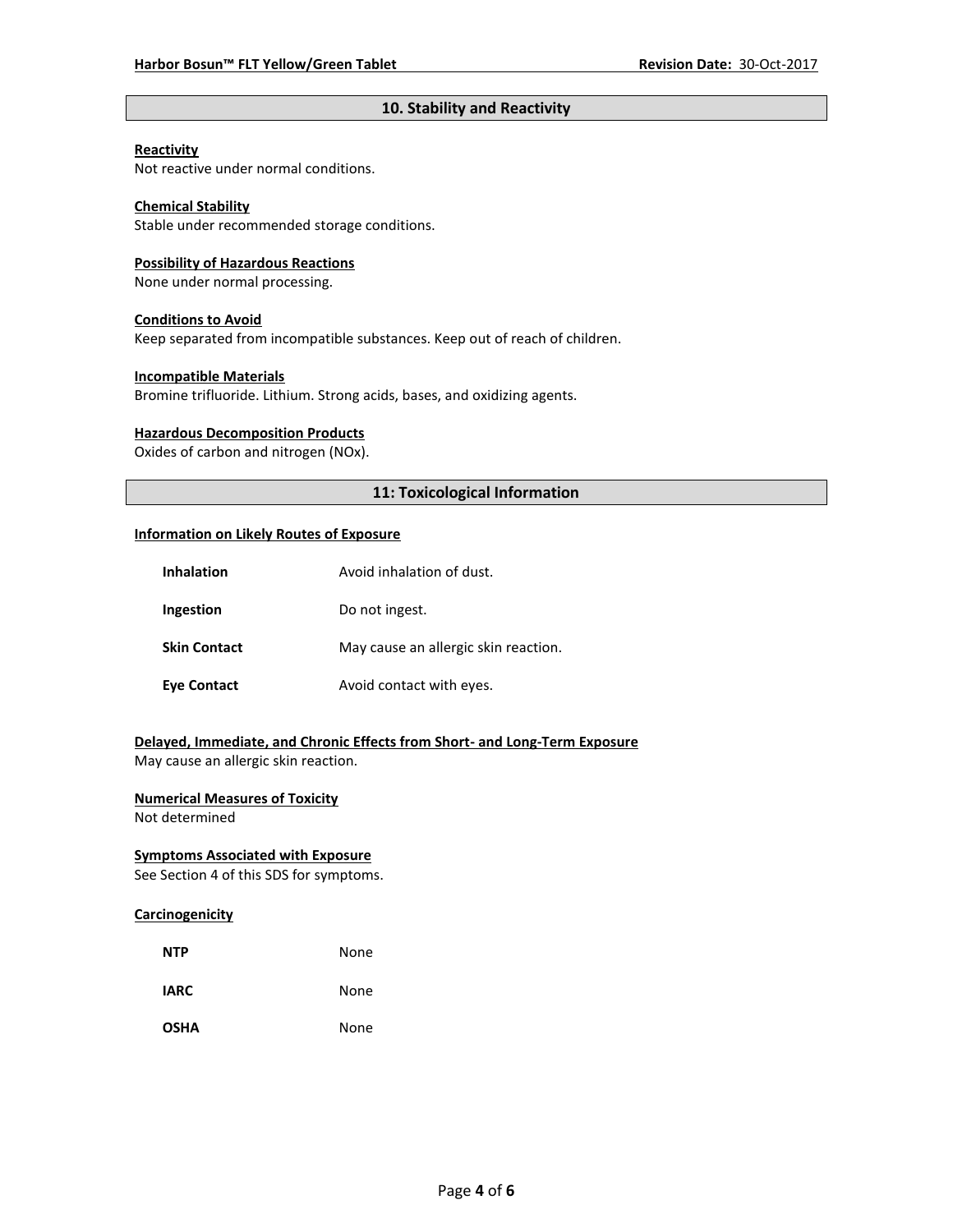# **10. Stability and Reactivity**

#### **Reactivity**

Not reactive under normal conditions.

# **Chemical Stability**

Stable under recommended storage conditions.

#### **Possibility of Hazardous Reactions**

None under normal processing.

#### **Conditions to Avoid**

Keep separated from incompatible substances. Keep out of reach of children.

#### **Incompatible Materials**

Bromine trifluoride. Lithium. Strong acids, bases, and oxidizing agents.

#### **Hazardous Decomposition Products**

Oxides of carbon and nitrogen (NOx).

# **11: Toxicological Information**

#### **Information on Likely Routes of Exposure**

| <b>Inhalation</b>   | Avoid inhalation of dust.            |
|---------------------|--------------------------------------|
| Ingestion           | Do not ingest.                       |
| <b>Skin Contact</b> | May cause an allergic skin reaction. |
| <b>Eye Contact</b>  | Avoid contact with eyes.             |

# **Delayed, Immediate, and Chronic Effects from Short- and Long-Term Exposure**

May cause an allergic skin reaction.

# **Numerical Measures of Toxicity**

Not determined

# **Symptoms Associated with Exposure**

See Section 4 of this SDS for symptoms.

# **Carcinogenicity**

| <b>NTP</b>  | None |
|-------------|------|
| <b>IARC</b> | None |
| <b>OSHA</b> | None |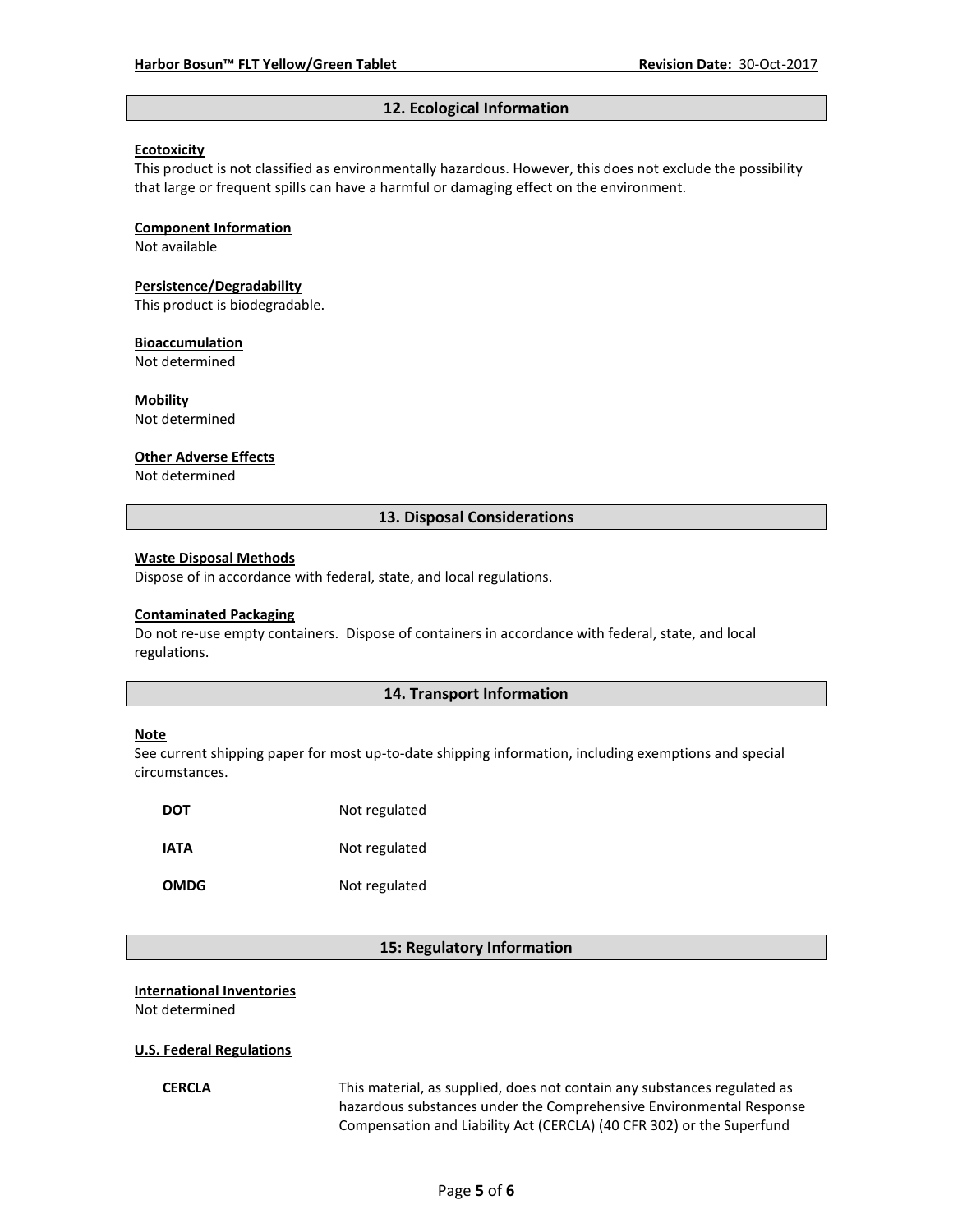# **12. Ecological Information**

### **Ecotoxicity**

This product is not classified as environmentally hazardous. However, this does not exclude the possibility that large or frequent spills can have a harmful or damaging effect on the environment.

#### **Component Information**

Not available

# **Persistence/Degradability**

This product is biodegradable.

#### **Bioaccumulation**

Not determined

## **Mobility**

Not determined

#### **Other Adverse Effects**

Not determined

# **13. Disposal Considerations**

#### **Waste Disposal Methods**

Dispose of in accordance with federal, state, and local regulations.

#### **Contaminated Packaging**

Do not re-use empty containers.Dispose of containers in accordance with federal, state, and local regulations.

# **14. Transport Information**

#### **Note**

See current shipping paper for most up-to-date shipping information, including exemptions and special circumstances.

| DOT         | Not regulated |
|-------------|---------------|
| IATA        | Not regulated |
| <b>OMDG</b> | Not regulated |

#### **15: Regulatory Information**

#### **International Inventories**

Not determined

#### **U.S. Federal Regulations**

**CERCLA** This material, as supplied, does not contain any substances regulated as hazardous substances under the Comprehensive Environmental Response Compensation and Liability Act (CERCLA) (40 CFR 302) or the Superfund